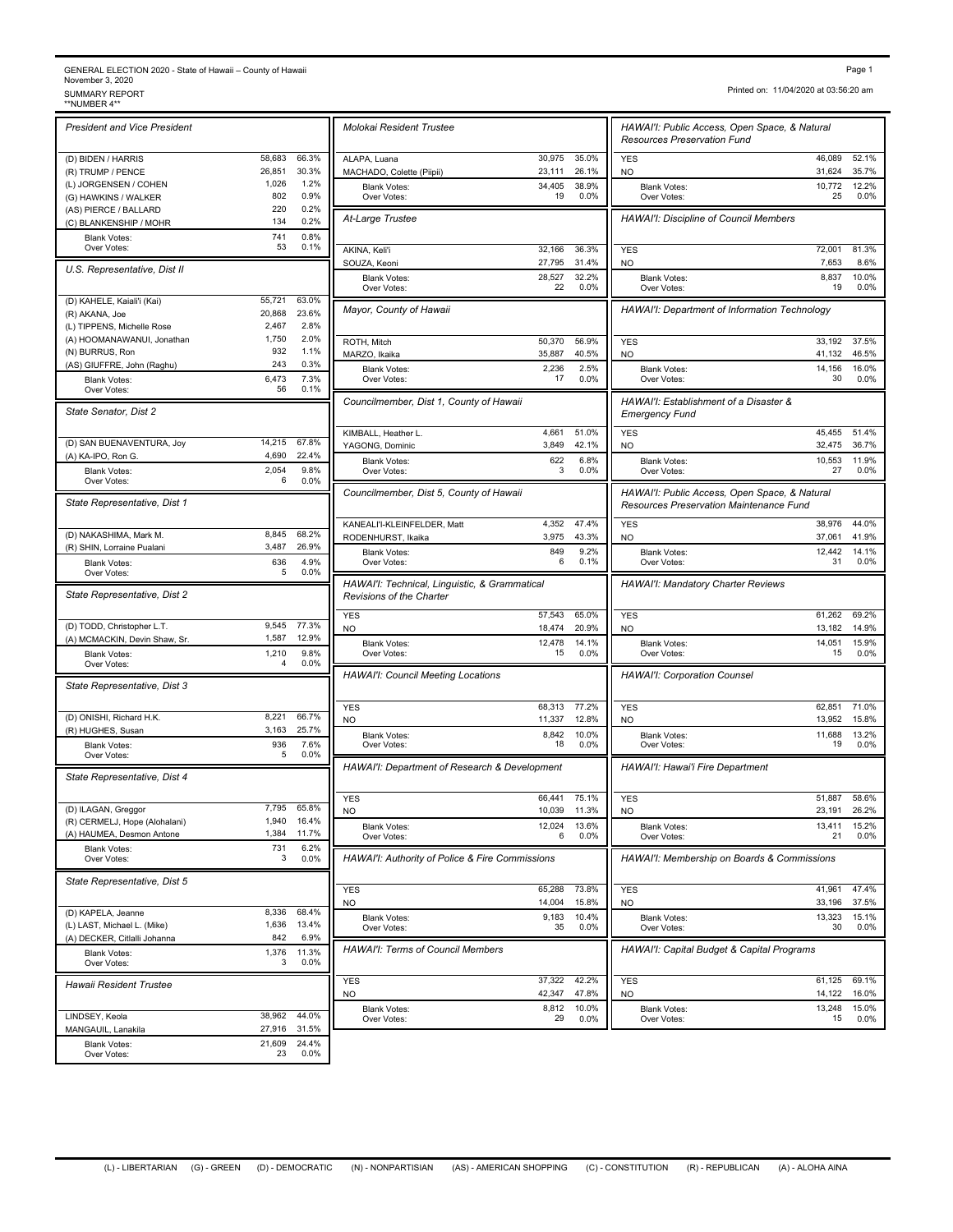## GENERAL ELECTION 2020 - State of Hawaii – County of Hawaii<br>November 3, 2020<br>\*NUMBER 4\*\*<br>\*\*NUMBER 4\*\*

| <b>President and Vice President</b>       |                  |                | Molokai Resident Trustee                                                     |
|-------------------------------------------|------------------|----------------|------------------------------------------------------------------------------|
| (D) BIDEN / HARRIS                        | 58,683           | 66.3%          | ALAPA, Luana                                                                 |
| (R) TRUMP / PENCE                         | 26,851           | 30.3%          | MACHADO, Colette (Piipii)                                                    |
| (L) JORGENSEN / COHEN                     | 1,026            | 1.2%           | <b>Blank Votes:</b>                                                          |
| (G) HAWKINS / WALKER                      | 802              | 0.9%           | Over Votes:                                                                  |
| (AS) PIERCE / BALLARD                     | 220              | 0.2%           |                                                                              |
| (C) BLANKENSHIP / MOHR                    | 134              | 0.2%           | At-Large Trustee                                                             |
| <b>Blank Votes:</b>                       | 741              | 0.8%           |                                                                              |
| Over Votes:                               | 53               | 0.1%           | AKINA, Keli'i                                                                |
| U.S. Representative, Dist II              |                  |                | SOUZA, Keoni                                                                 |
|                                           |                  |                | <b>Blank Votes:</b><br>Over Votes:                                           |
| (D) KAHELE, Kaiali'i (Kai)                | 55,721           | 63.0%          |                                                                              |
| (R) AKANA, Joe                            | 20,868           | 23.6%          | Mayor, County of Hawaii                                                      |
| (L) TIPPENS, Michelle Rose                | 2,467            | 2.8%           |                                                                              |
| (A) HOOMANAWANUI, Jonathan                | 1,750            | 2.0%           | ROTH, Mitch                                                                  |
| (N) BURRUS, Ron                           | 932              | 1.1%           | MARZO, Ikaika                                                                |
| (AS) GIUFFRE, John (Raghu)                | 243              | 0.3%           | <b>Blank Votes:</b>                                                          |
| <b>Blank Votes:</b>                       | 6,473            | 7.3%           | Over Votes:                                                                  |
| Over Votes:                               | 56               | 0.1%           | Councilmember, Dist 1, Cou                                                   |
| State Senator, Dist 2                     |                  |                |                                                                              |
|                                           |                  |                | KIMBALL, Heather L.                                                          |
| (D) SAN BUENAVENTURA, Joy                 | 14,215           | 67.8%          | YAGONG, Dominic                                                              |
| (A) KA-IPO, Ron G.                        | 4,690            | 22.4%          |                                                                              |
| <b>Blank Votes:</b>                       | 2,054            | 9.8%           | <b>Blank Votes:</b><br>Over Votes:                                           |
| Over Votes:                               | 6                | 0.0%           |                                                                              |
|                                           |                  |                | Councilmember, Dist 5, Cou                                                   |
| State Representative, Dist 1              |                  |                |                                                                              |
|                                           |                  |                | KANEALI'I-KLEINFELDER, Mat                                                   |
| (D) NAKASHIMA, Mark M.                    | 8,845            | 68.2%          | RODENHURST, Ikaika                                                           |
| (R) SHIN, Lorraine Pualani                | 3,487            | 26.9%          | <b>Blank Votes:</b>                                                          |
| <b>Blank Votes:</b><br>Over Votes:        | 636<br>5         | 4.9%<br>0.0%   | Over Votes:                                                                  |
|                                           |                  |                | HAWAI'I: Technical, Linguis                                                  |
| State Representative, Dist 2              |                  |                | Revisions of the Charter                                                     |
|                                           |                  |                | <b>YES</b>                                                                   |
| (D) TODD, Christopher L.T.                | 9,545            | 77.3%          | <b>NO</b>                                                                    |
| (A) MCMACKIN, Devin Shaw, Sr.             | 1,587            | 12.9%          | <b>Blank Votes:</b>                                                          |
| <b>Blank Votes:</b>                       |                  |                | Over Votes:                                                                  |
|                                           | 1,210            | 9.8%           |                                                                              |
| Over Votes:                               | 4                | 0.0%           |                                                                              |
|                                           |                  |                |                                                                              |
| State Representative, Dist 3              |                  |                |                                                                              |
|                                           |                  |                | <b>YES</b>                                                                   |
| (D) ONISHI, Richard H.K.                  | 8,221            | 66.7%<br>25.7% | NO                                                                           |
| (R) HUGHES, Susan                         | 3,163<br>936     | 7.6%           | <b>Blank Votes:</b>                                                          |
| <b>Blank Votes:</b><br>Over Votes:        | 5                | 0.0%           | Over Votes:                                                                  |
|                                           |                  |                |                                                                              |
| State Representative, Dist 4              |                  |                |                                                                              |
|                                           |                  |                | <b>HAWAI'I: Council Meeting L</b><br>HAWAI'I: Department of Re<br><b>YES</b> |
| (D) ILAGAN, Greggor                       | 7,795            | 65.8%          | NO                                                                           |
| (R) CERMELJ, Hope (Alohalani)             | 1,940            | 16.4%          | <b>Blank Votes:</b>                                                          |
| (A) HAUMEA, Desmon Antone                 | 1,384            | 11.7%          | Over Votes:                                                                  |
| <b>Blank Votes:</b><br>Over Votes:        | 731<br>3         | 6.2%<br>0.0%   | <b>HAWAI'I: Authority of Police</b>                                          |
|                                           |                  |                |                                                                              |
| State Representative, Dist 5              |                  |                |                                                                              |
|                                           |                  |                | <b>YES</b><br>NO                                                             |
| (D) KAPELA, Jeanne                        | 8,336            | 68.4%          |                                                                              |
| (L) LAST, Michael L. (Mike)               | 1,636            | 13.4%          | <b>Blank Votes:</b><br>Over Votes:                                           |
| (A) DECKER, Citlalli Johanna              | 842              | 6.9%           |                                                                              |
| <b>Blank Votes:</b>                       | 1,376            | 11.3%          | HAWAI'I: Terms of Council                                                    |
| Over Votes:                               | 3                | 0.0%           |                                                                              |
| Hawaii Resident Trustee                   |                  |                | YES                                                                          |
|                                           |                  |                | NO.                                                                          |
|                                           |                  |                | Blank Votes:                                                                 |
| LINDSEY, Keola                            | 38,962           | 44.0%          | Over Votes:                                                                  |
| MANGAUIL, Lanakila<br><b>Blank Votes:</b> | 27,916<br>21,609 | 31.5%<br>24.4% |                                                                              |

| Molokai Resident Trustee                                                                 |                  |                | HAWAI'I: Public Access, Open Space, & Natural<br><b>Resources Preservation Fund</b>      |                  |                |
|------------------------------------------------------------------------------------------|------------------|----------------|------------------------------------------------------------------------------------------|------------------|----------------|
| ALAPA, Luana                                                                             | 30,975           | 35.0%          | <b>YES</b>                                                                               | 46,089           | 52.1%          |
| MACHADO, Colette (Piipii)<br><b>Blank Votes:</b>                                         | 23,111<br>34,405 | 26.1%<br>38.9% | <b>NO</b><br><b>Blank Votes:</b>                                                         | 31,624<br>10,772 | 35.7%<br>12.2% |
| Over Votes:                                                                              | 19               | 0.0%           | Over Votes:                                                                              | 25               | 0.0%           |
| At-Large Trustee                                                                         |                  |                | <b>HAWAI'I: Discipline of Council Members</b>                                            |                  |                |
| AKINA, Keli'i<br>SOUZA, Keoni                                                            | 32,166<br>27,795 | 36.3%<br>31.4% | <b>YES</b><br>NO                                                                         | 72,001<br>7,653  | 81.3%<br>8.6%  |
| <b>Blank Votes:</b><br>Over Votes:                                                       | 28.527<br>22     | 32.2%<br>0.0%  | <b>Blank Votes:</b><br>Over Votes:                                                       | 8,837<br>19      | 10.0%<br>0.0%  |
| Mayor, County of Hawaii                                                                  |                  |                | HAWAI'I: Department of Information Technology                                            |                  |                |
| ROTH, Mitch                                                                              | 50,370           | 56.9%          | <b>YES</b>                                                                               | 33,192           | 37.5%          |
| MARZO, Ikaika                                                                            | 35,887           | 40.5%          | NO                                                                                       | 41,132           | 46.5%          |
| <b>Blank Votes:</b><br>Over Votes:                                                       | 2,236<br>17      | 2.5%<br>0.0%   | <b>Blank Votes:</b><br>Over Votes:                                                       | 14,156<br>30     | 16.0%<br>0.0%  |
| Councilmember, Dist 1, County of Hawaii                                                  |                  |                | HAWAI'I: Establishment of a Disaster &<br><b>Emergency Fund</b>                          |                  |                |
| KIMBALL, Heather L.                                                                      | 4,661            | 51.0%          | <b>YES</b>                                                                               | 45,455           | 51.4%          |
| YAGONG, Dominic                                                                          | 3,849<br>622     | 42.1%<br>6.8%  | N <sub>O</sub><br><b>Blank Votes:</b>                                                    | 32,475<br>10,553 | 36.7%<br>11.9% |
| <b>Blank Votes:</b><br>Over Votes:                                                       | 3                | 0.0%           | Over Votes:                                                                              | 27               | 0.0%           |
| Councilmember, Dist 5, County of Hawaii                                                  |                  |                | HAWAI'I: Public Access, Open Space, & Natural<br>Resources Preservation Maintenance Fund |                  |                |
| KANEALI'I-KLEINFELDER, Matt                                                              | 4,352            | 47.4%          | <b>YES</b>                                                                               | 38,976           | 44.0%          |
| RODENHURST, Ikaika<br><b>Blank Votes:</b>                                                | 3,975<br>849     | 43.3%<br>9.2%  | <b>NO</b><br><b>Blank Votes:</b>                                                         | 37,061<br>12,442 | 41.9%<br>14.1% |
| Over Votes:<br>HAWAI'I: Technical, Linguistic, & Grammatical<br>Revisions of the Charter | 6                | 0.1%           | Over Votes:<br><b>HAWAI'I: Mandatory Charter Reviews</b>                                 | 31               | 0.0%           |
| <b>YES</b>                                                                               | 57,543           | 65.0%          | <b>YES</b>                                                                               | 61,262           | 69.2%          |
| <b>NO</b>                                                                                | 18,474           | 20.9%          | <b>NO</b>                                                                                | 13,182           | 14.9%          |
| <b>Blank Votes:</b><br>Over Votes:                                                       | 12,478<br>15     | 14.1%<br>0.0%  | <b>Blank Votes:</b><br>Over Votes:                                                       | 14,051<br>15     | 15.9%<br>0.0%  |
| <b>HAWAI'I: Council Meeting Locations</b>                                                |                  |                | <b>HAWAI'I: Corporation Counsel</b>                                                      |                  |                |
| <b>YES</b>                                                                               | 68,313           | 77.2%          | <b>YES</b>                                                                               | 62,851           | 71.0%          |
| <b>NO</b><br><b>Blank Votes:</b>                                                         | 11,337<br>8,842  | 12.8%<br>10.0% | <b>NO</b><br><b>Blank Votes:</b>                                                         | 13,952<br>11,688 | 15.8%<br>13.2% |
| Over Votes:                                                                              | 18               | 0.0%           | Over Votes:                                                                              | 19               | 0.0%           |
| HAWAI'I: Department of Research & Development                                            |                  |                | HAWAI'I: Hawai'i Fire Department                                                         |                  |                |
| <b>YES</b><br>NO                                                                         | 66,441<br>10,039 | 75.1%<br>11.3% | <b>YES</b><br>NO                                                                         | 51.887<br>23,191 | 58.6%<br>26.2% |
| <b>Blank Votes:</b><br>Over Votes:                                                       | 12,024<br>6      | 13.6%<br>0.0%  | <b>Blank Votes:</b><br>Over Votes:                                                       | 13,411<br>21     | 15.2%<br>0.0%  |
| HAWAI'I: Authority of Police & Fire Commissions                                          |                  |                | HAWAI'I: Membership on Boards & Commissions                                              |                  |                |
| <b>YES</b>                                                                               | 65,288           | 73.8%          | <b>YES</b>                                                                               | 41,961           | 47.4%          |
| NO                                                                                       | 14,004           | 15.8%          | NO                                                                                       | 33,196           | 37.5%          |
| <b>Blank Votes:</b><br>Over Votes:                                                       | 9,183<br>35      | 10.4%<br>0.0%  | <b>Blank Votes:</b><br>Over Votes:                                                       | 13,323<br>30     | 15.1%<br>0.0%  |
| HAWAI'I: Terms of Council Members                                                        |                  |                | HAWAI'I: Capital Budget & Capital Programs                                               |                  |                |
| <b>YES</b><br><b>NO</b>                                                                  | 37,322<br>42,347 | 42.2%<br>47.8% | <b>YES</b><br><b>NO</b>                                                                  | 61,125<br>14,122 | 69.1%<br>16.0% |
| <b>Blank Votes:</b>                                                                      | 8,812            | 10.0%          | <b>Blank Votes:</b>                                                                      | 13,248           | 15.0%          |
| Over Votes:                                                                              | 29               | 0.0%           | Over Votes:                                                                              | 15               | 0.0%           |

Printed on: 11/04/2020 at 03:56:20 am